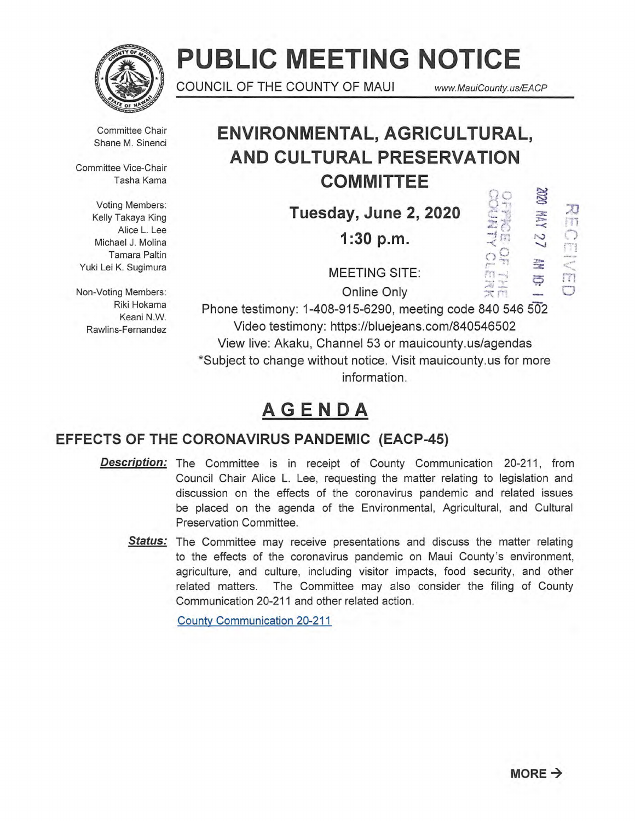

# **PUBLIC MEETING NOTICE**

COUNCIL OF THE COUNTY OF MAUI www.MauiCounty.us/EACP

 $\Box$ 

トロ<br>スト<br>スト

Committee Chair Shane M. Sinenci

Committee Vice-Chair Tasha Kama

Voting Members: Kelly Takaya King Alice L. Lee Michael J. Molina Tamara Paltin Yuki Lei K. Sugimura

Non-Voting Members: Riki Hokama Keani N.W. Rawlins-Fernandez

## **ENVIRONMENTAL, AGRICULTURAL, AND CULTURAL PRESERVATION COMMITTEE**

**Tuesday, June 2, 2020** 

**1:30 p.m.** 

NHOME CENT MAY 27 MM 10:

MEETING SITE:

Online Only

Phone testimony: 1-408-915-6290, meeting code 840 546 502 Video testimony: https://bluejeans.com/840546502 View live: Akaku, Channel 53 or mauicounty.us/agendas \*Subject to change without notice. Visit mauicounty.usfor more information.

## **AGENDA**

## **EFFECTS OF THE CORONAVIRUS PANDEMIC (EACP-45)**

- **Description:**  The Committee is in receipt of County Communication 20-211, from Council Chair Alice L. Lee, requesting the matter relating to legislation and discussion on the effects of the coronavirus pandemic and related issues be placed on the agenda of the Environmental, Agricultural, and Cultural Preservation Committee.
	- Status: The Committee may receive presentations and discuss the matter relating to the effects of the coronavirus pandemic on Maui County's environment, agriculture, and culture, including visitor impacts, food security, and other related matters. The Committee may also consider the filing of County Communication 20-211 and other related action.

County Communication 20-211